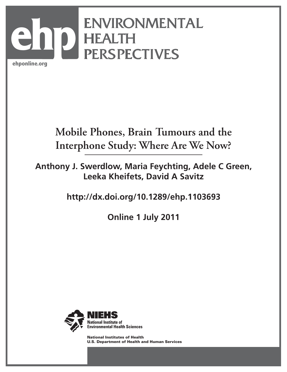

# **Mobile Phones, Brain Tumours and the Interphone Study: Where Are We Now?**

**Anthony J. Swerdlow, Maria Feychting, Adele C Green, Leeka Kheifets, David A Savitz**

**http://dx.doi.org/10.1289/ehp.1103693**

**Online 1 July 2011**



National Institutes of Health U.S. Department of Health and Human Services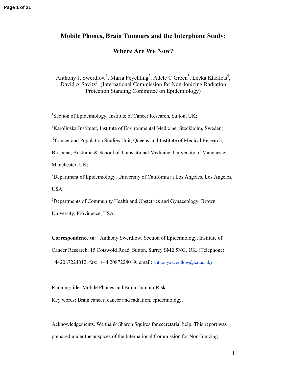## **Mobile Phones, Brain Tumours and the Interphone Study:**

### **Where Are We Now?**

Anthony J. Swerdlow<sup>1</sup>, Maria Feychting<sup>2</sup>, Adele C Green<sup>3</sup>, Leeka Kheifets<sup>4</sup>, David A Savitz<sup>5</sup> (International Commission for Non-Ionizing Radiation Protection Standing Committee on Epidemiology)

<sup>1</sup>Section of Epidemiology, Institute of Cancer Research, Sutton, UK;

 $2K$ arolinska Institutet, Institute of Environmental Medicine, Stockholm, Sweden;

<sup>3</sup>Cancer and Population Studies Unit, Queensland Institute of Medical Research,

Brisbane, Australia & School of Translational Medicine, University of Manchester,

Manchester, UK;

<sup>4</sup>Department of Epidemiology, University of California at Los Angeles, Los Angeles, USA;

<sup>5</sup>Departments of Community Health and Obstetrics and Gynaecology, Brown University, Providence, USA.

**Correspondence to**: Anthony Swerdlow, Section of Epidemiology, Institute of Cancer Research, 15 Cotswold Road, Sutton, Surrey SM2 5NG, UK. (Telephone: +442087224012; fax: +44 2087224019; email: anthony.swerdlow@icr.ac.uk**)**

Running title: Mobile Phones and Brain Tumour Risk

Key words: Brain cancer, cancer and radiation, epidemiology.

Acknowledgements. We thank Sharon Squires for secretarial help. This report was prepared under the auspices of the International Commission for Non-Ionizing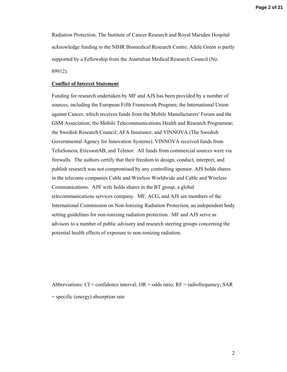**Page 2 of 21**

Radiation Protection. The Institute of Cancer Research and Royal Marsden Hospital acknowledge funding to the NIHR Biomedical Research Centre. Adele Green is partly supported by a Fellowship from the Australian Medical Research Council (No. 89912).

#### **Conflict of Interest Statement**

Funding for research undertaken by MF and AJS has been provided by a number of sources, including the European Fifth Framework Program; the International Union against Cancer, which receives funds from the Mobile Manufacturers' Forum and the GSM Association; the Mobile Telecommunications Health and Research Programme; the Swedish Research Council; AFA Insurance; and VINNOVA (The Swedish Governmental Agency for Innovation Systems). VINNOVA received funds from TeliaSonera, EricssonAB, and Telenor. All funds from commercial sources were via firewalls. The authors certify that their freedom to design, conduct, interpret, and publish research was not compromised by any controlling sponsor. AJS holds shares in the telecoms companies Cable and Wireless Worldwide and Cable and Wireless Communications. AJS' wife holds shares in the BT group, a global telecommunications services company. MF, ACG, and AJS are members of the International Commission on Non-Ionizing Radiation Protection, an independent body setting guidelines for non-ionizing radiation protection. MF and AJS serve as advisors to a number of public advisory and research steering groups concerning the potential health effects of exposure to non-ionizing radiation.

Abbreviations:  $CI =$  confidence interval;  $OR =$  odds ratio;  $RF =$  radiofrequency; SAR = specific (energy) absorption rate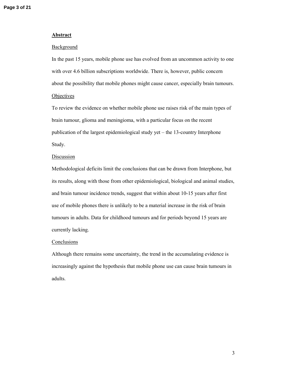#### **Abstract**

#### Background

In the past 15 years, mobile phone use has evolved from an uncommon activity to one with over 4.6 billion subscriptions worldwide. There is, however, public concern about the possibility that mobile phones might cause cancer, especially brain tumours. **Objectives** 

To review the evidence on whether mobile phone use raises risk of the main types of brain tumour, glioma and meningioma, with a particular focus on the recent publication of the largest epidemiological study yet – the 13-country Interphone Study.

#### **Discussion**

Methodological deficits limit the conclusions that can be drawn from Interphone, but its results, along with those from other epidemiological, biological and animal studies, and brain tumour incidence trends, suggest that within about 10-15 years after first use of mobile phones there is unlikely to be a material increase in the risk of brain tumours in adults. Data for childhood tumours and for periods beyond 15 years are currently lacking.

#### **Conclusions**

Although there remains some uncertainty, the trend in the accumulating evidence is increasingly against the hypothesis that mobile phone use can cause brain tumours in adults.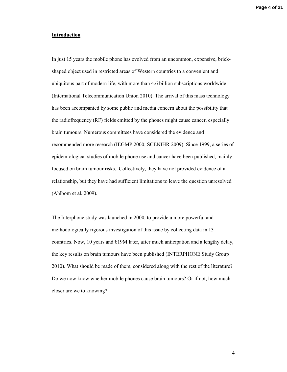#### **Introduction**

In just 15 years the mobile phone has evolved from an uncommon, expensive, brickshaped object used in restricted areas of Western countries to a convenient and ubiquitous part of modern life, with more than 4.6 billion subscriptions worldwide (International Telecommunication Union 2010). The arrival of this mass technology has been accompanied by some public and media concern about the possibility that the radiofrequency (RF) fields emitted by the phones might cause cancer, especially brain tumours. Numerous committees have considered the evidence and recommended more research (IEGMP 2000; SCENIHR 2009). Since 1999, a series of epidemiological studies of mobile phone use and cancer have been published, mainly focused on brain tumour risks. Collectively, they have not provided evidence of a relationship, but they have had sufficient limitations to leave the question unresolved (Ahlbom et al. 2009).

The Interphone study was launched in 2000, to provide a more powerful and methodologically rigorous investigation of this issue by collecting data in 13 countries. Now, 10 years and  $E19M$  later, after much anticipation and a lengthy delay, the key results on brain tumours have been published (INTERPHONE Study Group 2010). What should be made of them, considered along with the rest of the literature? Do we now know whether mobile phones cause brain tumours? Or if not, how much closer are we to knowing?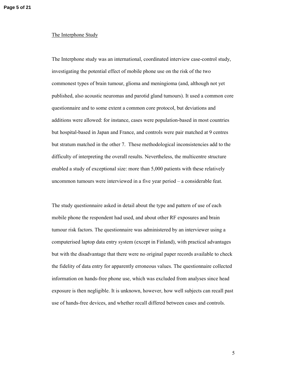#### The Interphone Study

The Interphone study was an international, coordinated interview case-control study, investigating the potential effect of mobile phone use on the risk of the two commonest types of brain tumour, glioma and meningioma (and, although not yet published, also acoustic neuromas and parotid gland tumours). It used a common core questionnaire and to some extent a common core protocol, but deviations and additions were allowed: for instance, cases were population-based in most countries but hospital-based in Japan and France, and controls were pair matched at 9 centres but stratum matched in the other 7. These methodological inconsistencies add to the difficulty of interpreting the overall results. Nevertheless, the multicentre structure enabled a study of exceptional size: more than 5,000 patients with these relatively uncommon tumours were interviewed in a five year period – a considerable feat.

The study questionnaire asked in detail about the type and pattern of use of each mobile phone the respondent had used, and about other RF exposures and brain tumour risk factors. The questionnaire was administered by an interviewer using a computerised laptop data entry system (except in Finland), with practical advantages but with the disadvantage that there were no original paper records available to check the fidelity of data entry for apparently erroneous values. The questionnaire collected information on hands-free phone use, which was excluded from analyses since head exposure is then negligible. It is unknown, however, how well subjects can recall past use of hands-free devices, and whether recall differed between cases and controls.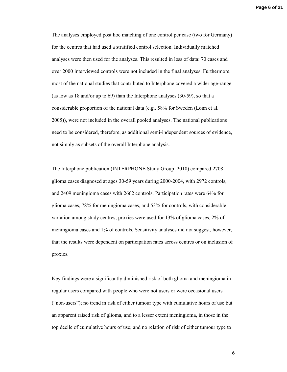The analyses employed post hoc matching of one control per case (two for Germany) for the centres that had used a stratified control selection. Individually matched analyses were then used for the analyses. This resulted in loss of data: 70 cases and over 2000 interviewed controls were not included in the final analyses. Furthermore, most of the national studies that contributed to Interphone covered a wider age-range (as low as 18 and/or up to 69) than the Interphone analyses (30-59), so that a considerable proportion of the national data (e.g., 58% for Sweden (Lonn et al. 2005)), were not included in the overall pooled analyses. The national publications need to be considered, therefore, as additional semi-independent sources of evidence, not simply as subsets of the overall Interphone analysis.

The Interphone publication (INTERPHONE Study Group 2010) compared 2708 glioma cases diagnosed at ages 30-59 years during 2000-2004, with 2972 controls, and 2409 meningioma cases with 2662 controls. Participation rates were 64% for glioma cases, 78% for meningioma cases, and 53% for controls, with considerable variation among study centres; proxies were used for 13% of glioma cases, 2% of meningioma cases and 1% of controls. Sensitivity analyses did not suggest, however, that the results were dependent on participation rates across centres or on inclusion of proxies.

Key findings were a significantly diminished risk of both glioma and meningioma in regular users compared with people who were not users or were occasional users ("non-users"); no trend in risk of either tumour type with cumulative hours of use but an apparent raised risk of glioma, and to a lesser extent meningioma, in those in the top decile of cumulative hours of use; and no relation of risk of either tumour type to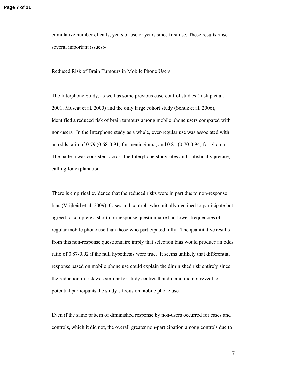cumulative number of calls, years of use or years since first use. These results raise several important issues:-

#### Reduced Risk of Brain Tumours in Mobile Phone Users

The Interphone Study, as well as some previous case-control studies (Inskip et al. 2001; Muscat et al. 2000) and the only large cohort study (Schuz et al. 2006), identified a reduced risk of brain tumours among mobile phone users compared with non-users. In the Interphone study as a whole, ever-regular use was associated with an odds ratio of 0.79 (0.68-0.91) for meningioma, and 0.81 (0.70-0.94) for glioma. The pattern was consistent across the Interphone study sites and statistically precise, calling for explanation.

There is empirical evidence that the reduced risks were in part due to non-response bias (Vrijheid et al. 2009). Cases and controls who initially declined to participate but agreed to complete a short non-response questionnaire had lower frequencies of regular mobile phone use than those who participated fully. The quantitative results from this non-response questionnaire imply that selection bias would produce an odds ratio of 0.87-0.92 if the null hypothesis were true. It seems unlikely that differential response based on mobile phone use could explain the diminished risk entirely since the reduction in risk was similar for study centres that did and did not reveal to potential participants the study's focus on mobile phone use.

Even if the same pattern of diminished response by non-users occurred for cases and controls, which it did not, the overall greater non-participation among controls due to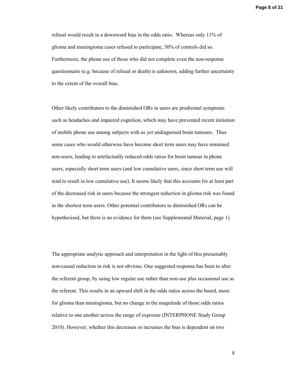refusal would result in a downward bias in the odds ratio. Whereas only 11% of glioma and meningioma cases refused to participate, 30% of controls did so. Furthermore, the phone use of those who did not complete even the non-response questionnaire (e.g. because of refusal or death) is unknown, adding further uncertainty to the extent of the overall bias.

Other likely contributors to the diminished ORs in users are prodromal symptoms such as headaches and impaired cognition, which may have prevented recent initiation of mobile phone use among subjects with as yet undiagnosed brain tumours. Thus some cases who would otherwise have become short term users may have remained non-users, leading to artefactually reduced odds ratios for brain tumour in phone users, especially short term users (and low cumulative users, since short term use will tend to result in low cumulative use). It seems likely that this accounts for at least part of the decreased risk in users because the strongest reduction in glioma risk was found in the shortest term users. Other potential contributors to diminished ORs can be hypothesised, but there is no evidence for them (see Supplemental Material, page 1).

The appropriate analytic approach and interpretation in the light of this presumably non-causal reduction in risk is not obvious. One suggested response has been to alter the referent group, by using low regular use rather than non-use plus occasional use as the referent. This results in an upward shift in the odds ratios across the board, more for glioma than meningioma, but no change in the magnitude of those odds ratios relative to one another across the range of exposure (INTERPHONE Study Group 2010). However, whether this decreases or increases the bias is dependent on two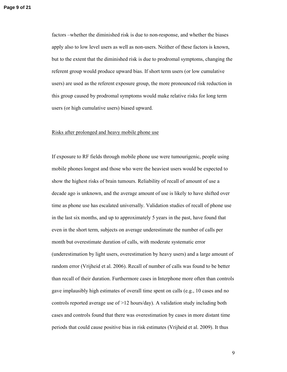factors –whether the diminished risk is due to non-response, and whether the biases apply also to low level users as well as non-users. Neither of these factors is known, but to the extent that the diminished risk is due to prodromal symptoms, changing the referent group would produce upward bias. If short term users (or low cumulative users) are used as the referent exposure group, the more pronounced risk reduction in this group caused by prodromal symptoms would make relative risks for long term users (or high cumulative users) biased upward.

#### Risks after prolonged and heavy mobile phone use

If exposure to RF fields through mobile phone use were tumourigenic, people using mobile phones longest and those who were the heaviest users would be expected to show the highest risks of brain tumours. Reliability of recall of amount of use a decade ago is unknown, and the average amount of use is likely to have shifted over time as phone use has escalated universally. Validation studies of recall of phone use in the last six months, and up to approximately 5 years in the past, have found that even in the short term, subjects on average underestimate the number of calls per month but overestimate duration of calls, with moderate systematic error (underestimation by light users, overestimation by heavy users) and a large amount of random error (Vrijheid et al. 2006). Recall of number of calls was found to be better than recall of their duration. Furthermore cases in Interphone more often than controls gave implausibly high estimates of overall time spent on calls (e.g., 10 cases and no controls reported average use of >12 hours/day). A validation study including both cases and controls found that there was overestimation by cases in more distant time periods that could cause positive bias in risk estimates (Vrijheid et al. 2009). It thus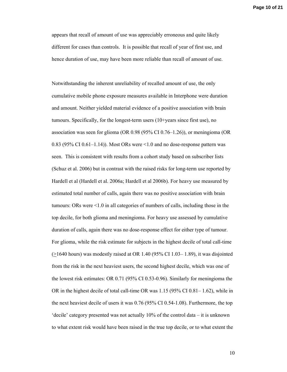appears that recall of amount of use was appreciably erroneous and quite likely different for cases than controls. It is possible that recall of year of first use, and hence duration of use, may have been more reliable than recall of amount of use.

Notwithstanding the inherent unreliability of recalled amount of use, the only cumulative mobile phone exposure measures available in Interphone were duration and amount. Neither yielded material evidence of a positive association with brain tumours. Specifically, for the longest-term users (10+years since first use), no association was seen for glioma (OR 0.98 (95% CI 0.76–1.26)), or meningioma (OR 0.83 (95% CI 0.61–1.14)). Most ORs were <1.0 and no dose-response pattern was seen. This is consistent with results from a cohort study based on subscriber lists (Schuz et al. 2006) but in contrast with the raised risks for long-term use reported by Hardell et al (Hardell et al. 2006a; Hardell et al 2006b). For heavy use measured by estimated total number of calls, again there was no positive association with brain tumours: ORs were <1.0 in all categories of numbers of calls, including those in the top decile, for both glioma and meningioma. For heavy use assessed by cumulative duration of calls, again there was no dose-response effect for either type of tumour. For glioma, while the risk estimate for subjects in the highest decile of total call-time  $(>1640$  hours) was modestly raised at OR 1.40 (95% CI 1.03– 1.89), it was disjointed from the risk in the next heaviest users, the second highest decile, which was one of the lowest risk estimates: OR 0.71 (95% CI 0.53-0.96). Similarly for meningioma the OR in the highest decile of total call-time OR was 1.15 (95% CI 0.81– 1.62), while in the next heaviest decile of users it was 0.76 (95% CI 0.54-1.08). Furthermore, the top 'decile' category presented was not actually 10% of the control data – it is unknown to what extent risk would have been raised in the true top decile, or to what extent the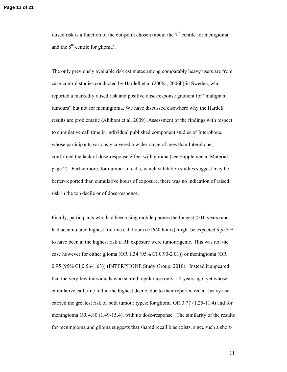raised risk is a function of the cut-point chosen (about the  $7<sup>th</sup>$  centile for menigioma, and the  $8<sup>th</sup>$  centile for glioma).

The only previously available risk estimates among comparably heavy users are from case-control studies conducted by Hardell et al (2006a, 2006b) in Sweden, who reported a markedly raised risk and positive dose-response gradient for "malignant tumours" but not for meningioma. We have discussed elsewhere why the Hardell results are problematic (Ahlbom et al. 2009). Assessment of the findings with respect to cumulative call time in individual published component studies of Interphone, whose participants variously covered a wider range of ages than Interphone, confirmed the lack of dose-response effect with glioma (see Supplemental Material, page 2). Furthermore, for number of calls, which validation studies suggest may be better-reported than cumulative hours of exposure, there was no indication of raised risk in the top decile or of dose-response.

Finally, participants who had been using mobile phones the longest (>10 years) and had accumulated highest lifetime call hours ( $\geq$ 1640 hours) might be expected *a priori* to have been at the highest risk if RF exposure were tumourigenic. This was not the case however for either glioma (OR 1.34 (95% CI 0.90-2.01)) or meningioma (OR 0.95 (95% CI 0.56-1.63)) (INTERPHONE Study Group, 2010). Instead it appeared that the very few individuals who started regular use only 1-4 years ago, yet whose cumulative call time fell in the highest decile, due to their reported recent heavy use, carried the greatest risk of both tumour types: for glioma OR 3.77 (1.25-11.4) and for meningioma OR 4.80 (1.49-15.4), with no dose-response. The similarity of the results for meningioma and glioma suggests that shared recall bias exists, since such a short-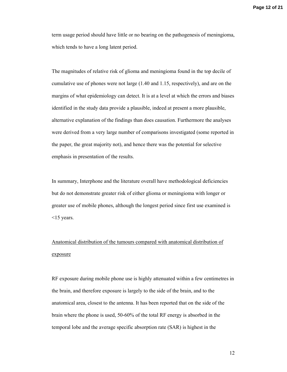term usage period should have little or no bearing on the pathogenesis of meningioma, which tends to have a long latent period.

The magnitudes of relative risk of glioma and meningioma found in the top decile of cumulative use of phones were not large (1.40 and 1.15, respectively), and are on the margins of what epidemiology can detect. It is at a level at which the errors and biases identified in the study data provide a plausible, indeed at present a more plausible, alternative explanation of the findings than does causation. Furthermore the analyses were derived from a very large number of comparisons investigated (some reported in the paper, the great majority not), and hence there was the potential for selective emphasis in presentation of the results.

In summary, Interphone and the literature overall have methodological deficiencies but do not demonstrate greater risk of either glioma or meningioma with longer or greater use of mobile phones, although the longest period since first use examined is <15 years.

# Anatomical distribution of the tumours compared with anatomical distribution of exposure

RF exposure during mobile phone use is highly attenuated within a few centimetres in the brain, and therefore exposure is largely to the side of the brain, and to the anatomical area, closest to the antenna. It has been reported that on the side of the brain where the phone is used, 50-60% of the total RF energy is absorbed in the temporal lobe and the average specific absorption rate (SAR) is highest in the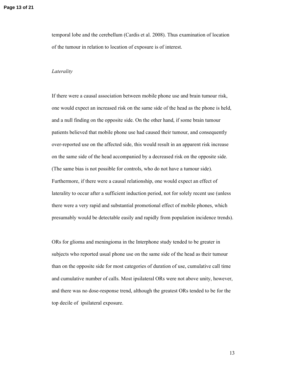temporal lobe and the cerebellum (Cardis et al. 2008). Thus examination of location of the tumour in relation to location of exposure is of interest.

#### *Laterality*

If there were a causal association between mobile phone use and brain tumour risk, one would expect an increased risk on the same side of the head as the phone is held, and a null finding on the opposite side. On the other hand, if some brain tumour patients believed that mobile phone use had caused their tumour, and consequently over-reported use on the affected side, this would result in an apparent risk increase on the same side of the head accompanied by a decreased risk on the opposite side. (The same bias is not possible for controls, who do not have a tumour side). Furthermore, if there were a causal relationship, one would expect an effect of laterality to occur after a sufficient induction period, not for solely recent use (unless there were a very rapid and substantial promotional effect of mobile phones, which presumably would be detectable easily and rapidly from population incidence trends).

ORs for glioma and meningioma in the Interphone study tended to be greater in subjects who reported usual phone use on the same side of the head as their tumour than on the opposite side for most categories of duration of use, cumulative call time and cumulative number of calls. Most ipsilateral ORs were not above unity, however, and there was no dose-response trend, although the greatest ORs tended to be for the top decile of ipsilateral exposure.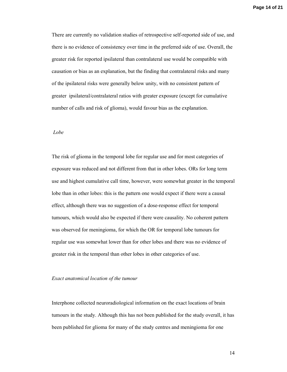There are currently no validation studies of retrospective self-reported side of use, and there is no evidence of consistency over time in the preferred side of use. Overall, the greater risk for reported ipsilateral than contralateral use would be compatible with causation or bias as an explanation, but the finding that contralateral risks and many of the ipsilateral risks were generally below unity, with no consistent pattern of greater ipsilateral/contralateral ratios with greater exposure (except for cumulative number of calls and risk of glioma), would favour bias as the explanation.

#### *Lobe*

The risk of glioma in the temporal lobe for regular use and for most categories of exposure was reduced and not different from that in other lobes. ORs for long term use and highest cumulative call time, however, were somewhat greater in the temporal lobe than in other lobes: this is the pattern one would expect if there were a causal effect, although there was no suggestion of a dose-response effect for temporal tumours, which would also be expected if there were causality. No coherent pattern was observed for meningioma, for which the OR for temporal lobe tumours for regular use was somewhat lower than for other lobes and there was no evidence of greater risk in the temporal than other lobes in other categories of use.

#### *Exact anatomical location of the tumour*

Interphone collected neuroradiological information on the exact locations of brain tumours in the study. Although this has not been published for the study overall, it has been published for glioma for many of the study centres and meningioma for one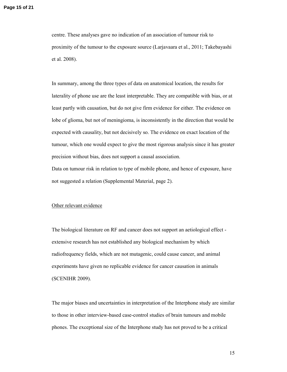centre. These analyses gave no indication of an association of tumour risk to proximity of the tumour to the exposure source (Larjavaara et al., 2011; Takebayashi et al. 2008).

In summary, among the three types of data on anatomical location, the results for laterality of phone use are the least interpretable. They are compatible with bias, or at least partly with causation, but do not give firm evidence for either. The evidence on lobe of glioma, but not of meningioma, is inconsistently in the direction that would be expected with causality, but not decisively so. The evidence on exact location of the tumour, which one would expect to give the most rigorous analysis since it has greater precision without bias, does not support a causal association.

Data on tumour risk in relation to type of mobile phone, and hence of exposure, have not suggested a relation (Supplemental Material, page 2).

#### Other relevant evidence

The biological literature on RF and cancer does not support an aetiological effect extensive research has not established any biological mechanism by which radiofrequency fields, which are not mutagenic, could cause cancer, and animal experiments have given no replicable evidence for cancer causation in animals (SCENIHR 2009).

The major biases and uncertainties in interpretation of the Interphone study are similar to those in other interview-based case-control studies of brain tumours and mobile phones. The exceptional size of the Interphone study has not proved to be a critical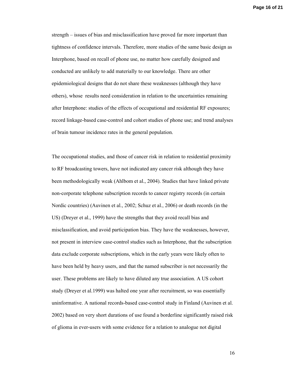**Page 16 of 21**

strength – issues of bias and misclassification have proved far more important than tightness of confidence intervals. Therefore, more studies of the same basic design as Interphone, based on recall of phone use, no matter how carefully designed and conducted are unlikely to add materially to our knowledge. There are other epidemiological designs that do not share these weaknesses (although they have others), whose results need consideration in relation to the uncertainties remaining after Interphone: studies of the effects of occupational and residential RF exposures; record linkage-based case-control and cohort studies of phone use; and trend analyses of brain tumour incidence rates in the general population.

The occupational studies, and those of cancer risk in relation to residential proximity to RF broadcasting towers, have not indicated any cancer risk although they have been methodologically weak (Ahlbom et al., 2004). Studies that have linked private non-corporate telephone subscription records to cancer registry records (in certain Nordic countries) (Auvinen et al., 2002; Schuz et al., 2006) or death records (in the US) (Dreyer et al., 1999) have the strengths that they avoid recall bias and misclassification, and avoid participation bias. They have the weaknesses, however, not present in interview case-control studies such as Interphone, that the subscription data exclude corporate subscriptions, which in the early years were likely often to have been held by heavy users, and that the named subscriber is not necessarily the user. These problems are likely to have diluted any true association. A US cohort study (Dreyer et al.1999) was halted one year after recruitment, so was essentially uninformative. A national records-based case-control study in Finland (Auvinen et al. 2002) based on very short durations of use found a borderline significantly raised risk of glioma in ever-users with some evidence for a relation to analogue not digital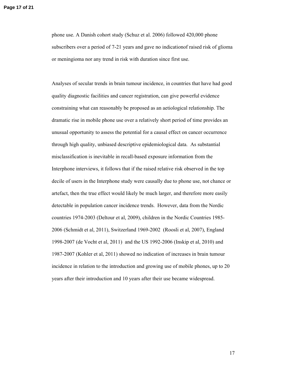phone use. A Danish cohort study (Schuz et al. 2006) followed 420,000 phone subscribers over a period of 7-21 years and gave no indicationof raised risk of glioma or meningioma nor any trend in risk with duration since first use.

Analyses of secular trends in brain tumour incidence, in countries that have had good quality diagnostic facilities and cancer registration, can give powerful evidence constraining what can reasonably be proposed as an aetiological relationship. The dramatic rise in mobile phone use over a relatively short period of time provides an unusual opportunity to assess the potential for a causal effect on cancer occurrence through high quality, unbiased descriptive epidemiological data. As substantial misclassification is inevitable in recall-based exposure information from the Interphone interviews, it follows that if the raised relative risk observed in the top decile of users in the Interphone study were causally due to phone use, not chance or artefact, then the true effect would likely be much larger, and therefore more easily detectable in population cancer incidence trends. However, data from the Nordic countries 1974-2003 (Deltour et al, 2009), children in the Nordic Countries 1985- 2006 (Schmidt et al, 2011), Switzerland 1969-2002 (Roosli et al, 2007), England 1998-2007 (de Vocht et al, 2011) and the US 1992-2006 (Inskip et al, 2010) and 1987-2007 (Kohler et al, 2011) showed no indication of increases in brain tumour incidence in relation to the introduction and growing use of mobile phones, up to 20 years after their introduction and 10 years after their use became widespread.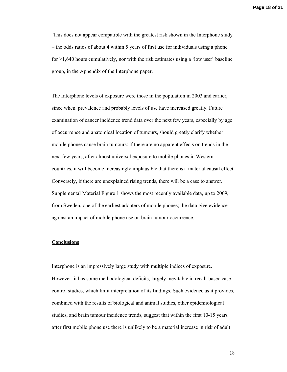This does not appear compatible with the greatest risk shown in the Interphone study – the odds ratios of about 4 within 5 years of first use for individuals using a phone for  $\geq$ 1,640 hours cumulatively, nor with the risk estimates using a 'low user' baseline group, in the Appendix of the Interphone paper.

The Interphone levels of exposure were those in the population in 2003 and earlier, since when prevalence and probably levels of use have increased greatly. Future examination of cancer incidence trend data over the next few years, especially by age of occurrence and anatomical location of tumours, should greatly clarify whether mobile phones cause brain tumours: if there are no apparent effects on trends in the next few years, after almost universal exposure to mobile phones in Western countries, it will become increasingly implausible that there is a material causal effect. Conversely, if there are unexplained rising trends, there will be a case to answer. Supplemental Material Figure 1 shows the most recently available data, up to 2009, from Sweden, one of the earliest adopters of mobile phones; the data give evidence against an impact of mobile phone use on brain tumour occurrence.

#### **Conclusions**

Interphone is an impressively large study with multiple indices of exposure. However, it has some methodological deficits, largely inevitable in recall-based casecontrol studies, which limit interpretation of its findings. Such evidence as it provides, combined with the results of biological and animal studies, other epidemiological studies, and brain tumour incidence trends, suggest that within the first 10-15 years after first mobile phone use there is unlikely to be a material increase in risk of adult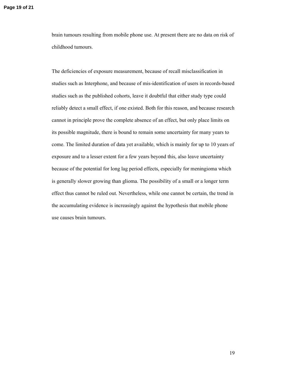brain tumours resulting from mobile phone use. At present there are no data on risk of childhood tumours.

The deficiencies of exposure measurement, because of recall misclassification in studies such as Interphone, and because of mis-identification of users in records-based studies such as the published cohorts, leave it doubtful that either study type could reliably detect a small effect, if one existed. Both for this reason, and because research cannot in principle prove the complete absence of an effect, but only place limits on its possible magnitude, there is bound to remain some uncertainty for many years to come. The limited duration of data yet available, which is mainly for up to 10 years of exposure and to a lesser extent for a few years beyond this, also leave uncertainty because of the potential for long lag period effects, especially for meningioma which is generally slower growing than glioma. The possibility of a small or a longer term effect thus cannot be ruled out. Nevertheless, while one cannot be certain, the trend in the accumulating evidence is increasingly against the hypothesis that mobile phone use causes brain tumours.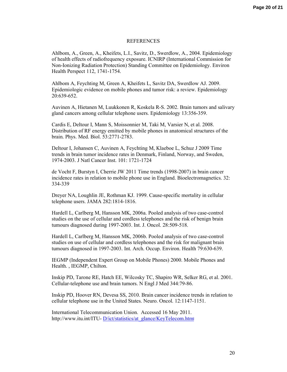#### REFERENCES

Ahlbom, A., Green, A., Kheifets, L.I., Savitz, D., Swerdlow, A., 2004. Epidemiology of health effects of radiofrequency exposure. ICNIRP (International Commission for Non-Ionizing Radiation Protection) Standing Committee on Epidemiology. Environ Health Perspect 112, 1741-1754.

Ahlbom A, Feychting M, Green A, Kheifets L, Savitz DA, Swerdlow AJ. 2009. Epidemiologic evidence on mobile phones and tumor risk: a review. Epidemiology 20:639-652.

Auvinen A, Hietanen M, Luukkonen R, Koskela R-S. 2002. Brain tumors and salivary gland cancers among cellular telephone users. Epidemiology 13:356-359.

Cardis E, Deltour I, Mann S, Moissonnier M, Taki M, Varsier N, et al. 2008. Distribution of RF energy emitted by mobile phones in anatomical structures of the brain. Phys. Med. Biol. 53:2771-2783.

Deltour I, Johansen C, Auvinen A, Feychting M, Klaeboe L, Schuz J 2009 Time trends in brain tumor incidence rates in Denmark, Finland, Norway, and Sweden, 1974-2003. J Natl Cancer Inst. 101: 1721-1724

de Vocht F, Burstyn I, Cherrie JW 2011 Time trends (1998-2007) in brain cancer incidence rates in relation to mobile phone use in England. Bioelectromagnetics. 32: 334-339

Dreyer NA, Loughlin JE, Rothman KJ. 1999. Cause-specific mortality in cellular telephone users. JAMA 282:1814-1816.

Hardell L, Carlberg M, Hansson MK, 2006a. Pooled analysis of two case-control studies on the use of cellular and cordless telephones and the risk of benign brain tumours diagnosed during 1997-2003. Int. J. Oncol. 28:509-518.

Hardell L, Carlberg M, Hansson MK, 2006b. Pooled analysis of two case-control studies on use of cellular and cordless telephones and the risk for malignant brain tumours diagnosed in 1997-2003. Int. Arch. Occup. Environ. Health 79:630-639.

IEGMP (Independent Expert Group on Mobile Phones) 2000. Mobile Phones and Health. , IEGMP, Chilton.

Inskip PD, Tarone RE, Hatch EE, Wilcosky TC, Shapiro WR, Selker RG, et al. 2001. Cellular-telephone use and brain tumors. N Engl J Med 344:79-86.

Inskip PD, Hoover RN, Devesa SS, 2010. Brain cancer incidence trends in relation to cellular telephone use in the United States. Neuro. Oncol. 12:1147-1151.

International Telecommunication Union. Accessed 16 May 2011. http://www.itu.int/ITU- D/ict/statistics/at\_glance/KeyTelecom.html